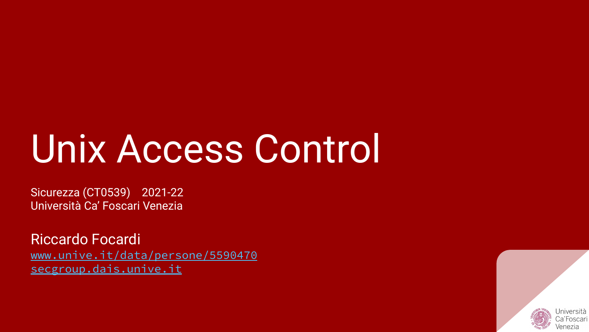# Unix Access Control

Sicurezza (CT0539) 2021-22 Università Ca' Foscari Venezia

Riccardo Focardi [www.unive.it/data/persone/5590470](https://www.unive.it/data/persone/5590470) [secgroup.dais.unive.it](https://secgroup.dais.unive.it/teaching/security-1/)

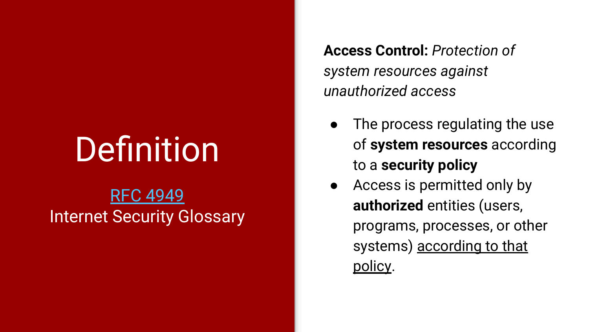# Definition

#### [RFC 4949](https://tools.ietf.org/html/rfc4949#page-11) Internet Security Glossary

**Access Control:** *Protection of system resources against unauthorized access*

- The process regulating the use of **system resources** according to a **security policy**
- Access is permitted only by **authorized** entities (users, programs, processes, or other systems) according to that policy.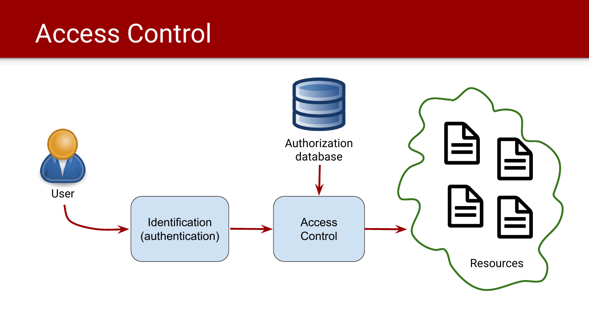#### Access Control

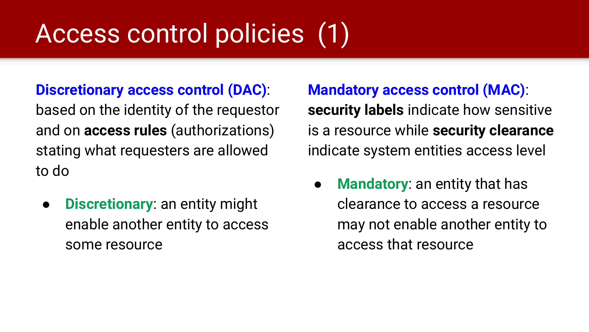# Access control policies (1)

#### **Discretionary access control (DAC)**:

based on the identity of the requestor and on **access rules** (authorizations) stating what requesters are allowed to do

● **Discretionary**: an entity might enable another entity to access some resource

**Mandatory access control (MAC)**: **security labels** indicate how sensitive is a resource while **security clearance** indicate system entities access level

● **Mandatory**: an entity that has clearance to access a resource may not enable another entity to access that resource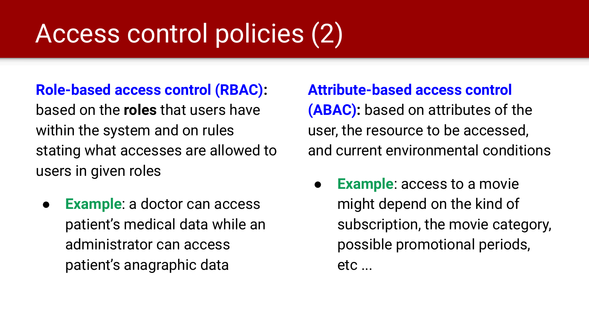# Access control policies (2)

#### **Role-based access control (RBAC):**

based on the **roles** that users have within the system and on rules stating what accesses are allowed to users in given roles

**Example:** a doctor can access patient's medical data while an administrator can access patient's anagraphic data

**Attribute-based access control (ABAC):** based on attributes of the user, the resource to be accessed, and current environmental conditions

**● Example**: access to a movie might depend on the kind of subscription, the movie category, possible promotional periods,  $etc...$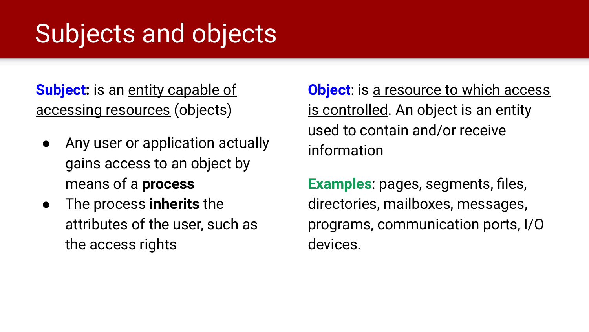# Subjects and objects

**Subject:** is an entity capable of accessing resources (objects)

- Any user or application actually gains access to an object by means of a **process**
- The process **inherits** the attributes of the user, such as the access rights

**Object:** is a resource to which access is controlled. An object is an entity used to contain and/or receive information

**Examples**: pages, segments, files, directories, mailboxes, messages, programs, communication ports, I/O devices.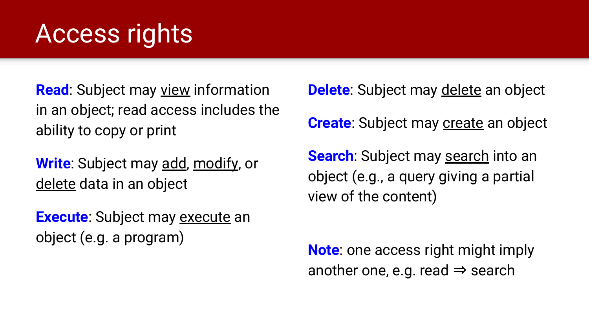# Access rights

**Read:** Subject may view information in an object; read access includes the ability to copy or print

**Write**: Subject may add, modify, or delete data in an object

**Execute:** Subject may execute an object (e.g. a program)

**Delete**: Subject may delete an object

**Create:** Subject may **create** an object

**Search:** Subject may search into an object (e.g., a query giving a partial view of the content)

**Note**: one access right might imply another one, e.g. read  $\Rightarrow$  search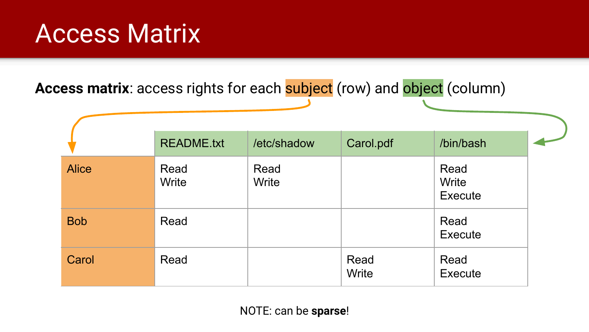#### Access Matrix

Access matrix: access rights for each subject (row) and object (column)

|              | <b>README.txt</b> | /etc/shadow   | Carol.pdf     | /bin/bash                |  |
|--------------|-------------------|---------------|---------------|--------------------------|--|
| <b>Alice</b> | Read<br>Write     | Read<br>Write |               | Read<br>Write<br>Execute |  |
| <b>Bob</b>   | Read              |               |               | Read<br>Execute          |  |
| Carol        | Read              |               | Read<br>Write | Read<br>Execute          |  |

NOTE: can be **sparse**!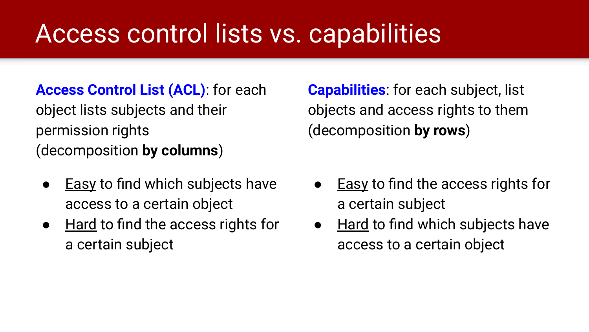# Access control lists vs. capabilities

#### **Access Control List (ACL)**: for each

object lists subjects and their permission rights (decomposition **by columns**)

- Easy to find which subjects have access to a certain object
- Hard to find the access rights for a certain subject

**Capabilities**: for each subject, list objects and access rights to them (decomposition **by rows**)

- Easy to find the access rights for a certain subject
- Hard to find which subjects have access to a certain object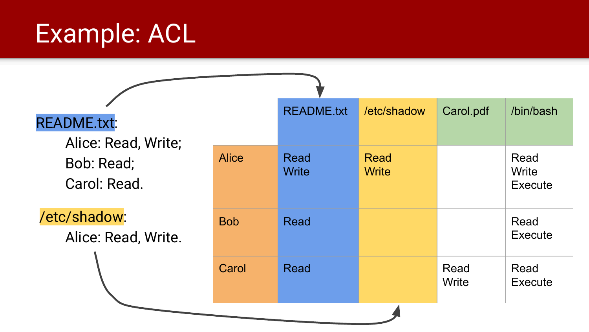# Example: ACL

| <b>README.txt:</b><br>Alice: Read, Write; |              | <b>README.txt</b>           | /etc/shadow          | Carol.pdf     | /bin/bash                |
|-------------------------------------------|--------------|-----------------------------|----------------------|---------------|--------------------------|
| Bob: Read;<br>Carol: Read.                | <b>Alice</b> | <b>Read</b><br><b>Write</b> | Read<br><b>Write</b> |               | Read<br>Write<br>Execute |
| /etc/shadow:<br>Alice: Read, Write.       | <b>Bob</b>   | <b>Read</b>                 |                      |               | Read<br>Execute          |
|                                           | Carol        | <b>Read</b>                 |                      | Read<br>Write | Read<br><b>Execute</b>   |
|                                           |              |                             |                      |               |                          |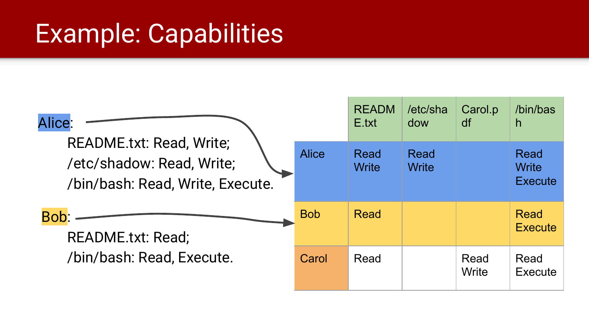#### Example: Capabilities

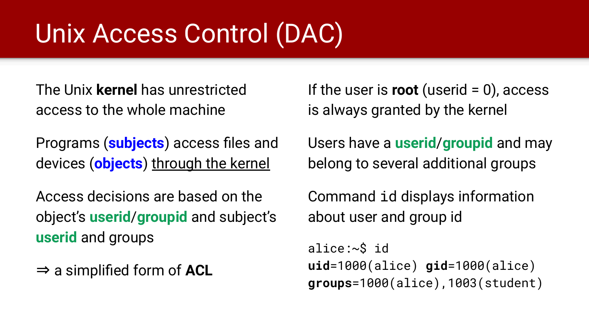# Unix Access Control (DAC)

The Unix **kernel** has unrestricted access to the whole machine

Programs (**subjects**) access files and devices (**objects**) through the kernel

Access decisions are based on the object's **userid**/**groupid** and subject's **userid** and groups

⇒ a simplified form of **ACL**

If the user is **root** (userid = 0), access is always granted by the kernel

Users have a **userid**/**groupid** and may belong to several additional groups

Command id displays information about user and group id

alice:~\$ id **uid**=1000(alice) **gid**=1000(alice) **groups**=1000(alice),1003(student)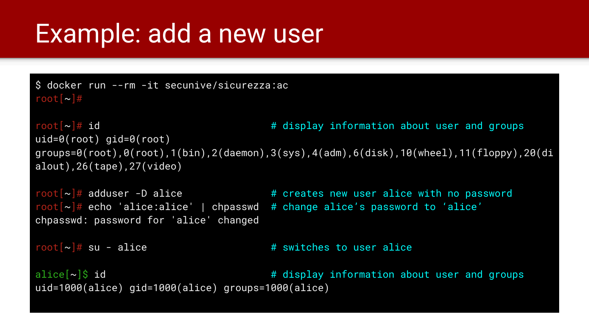#### Example: add a new user

\$ docker run --rm -it secunive/sicurezza:ac root $\lceil - \cdot \rceil$ #

```
root[~]# id # display information about user and groups
uid=0(root) gid=0(root)
groups=0(root),0(root),1(bin),2(daemon),3(sys),4(adm),6(disk),10(wheel),11(floppy),20(di
alout),26(tape),27(video)
```
chpasswd: password for 'alice' changed

```
root[\sim]\# adduser -D alice \# creates new user alice with no password
root[\sim]\# echo 'alice:alice' | chpasswd # change alice's password to 'alice'
```

```
root[\sim]\# su - alice \# switches to user alice
```
alice[~]\$ id # display information about user and groups uid=1000(alice) gid=1000(alice) groups=1000(alice)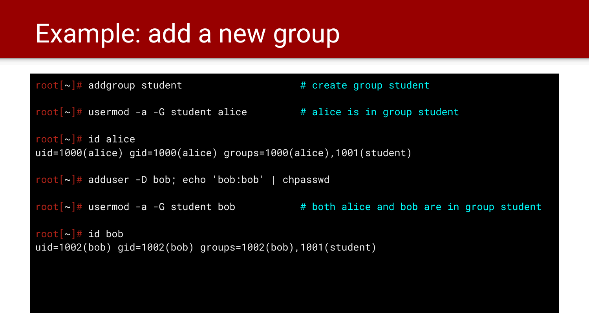### Example: add a new group

```
root[-]# addgroup student \qquad # create group student
root[\sim]\# usermod -a -G student alice \# alice is in group student
root\lceil \sim \rceil# id alice
uid=1000(alice) gid=1000(alice) groups=1000(alice),1001(student)
root[\sim]\# adduser -D bob; echo 'bob:bob' | chpasswd
root[\sim]\# usermod -a -G student bob \# both alice and bob are in group student
root\lceil -\rangle \# id bob
uid=1002(bob) gid=1002(bob) groups=1002(bob),1001(student)
```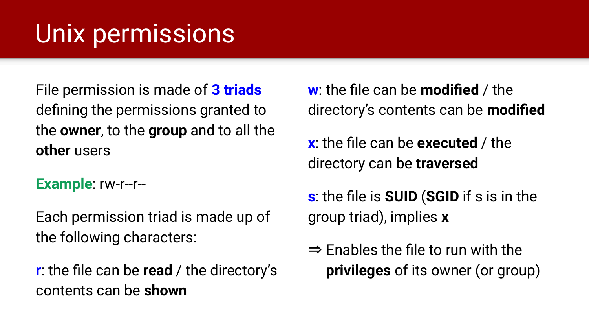# Unix permissions

File permission is made of **3 triads** defining the permissions granted to the **owner**, to the **group** and to all the **other** users

**Example**: rw-r--r--

Each permission triad is made up of the following characters:

**r**: the file can be **read** / the directory's contents can be **shown**

**w**: the file can be **modified** / the directory's contents can be **modified**

**x**: the file can be **executed** / the directory can be **traversed**

**s**: the file is **SUID** (**SGID** if s is in the group triad), implies **x**

⇒ Enables the file to run with the **privileges** of its owner (or group)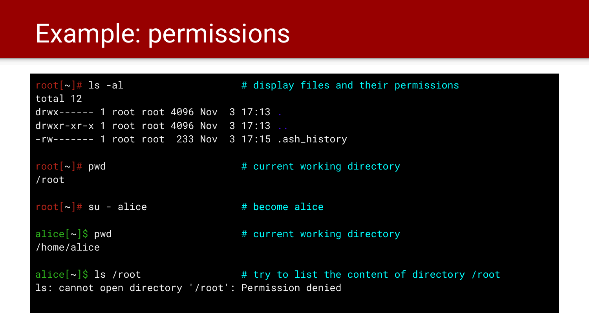#### Example: permissions

 $root[\sim]$ # ls -al  $\qquad$  # display files and their permissions total 12 drwx------ 1 root root 4096 Nov 3 17:13 . drwxr-xr-x 1 root root 4096 Nov 3 17:13 .. -rw------- 1 root root 233 Nov 3 17:15 .ash\_history  $root[\sim]\#$  pwd  $\#$  current working directory /root  $root[\sim]\#$  su - alice  $\#$  become alice  $\text{alice}[\sim]$ \$ pwd  $\text{H}$  current working directory /home/alice alice $\left[\sim\right]$ \$ ls /root  $\qquad \qquad \qquad \qquad \qquad$  # try to list the content of directory /root ls: cannot open directory '/root': Permission denied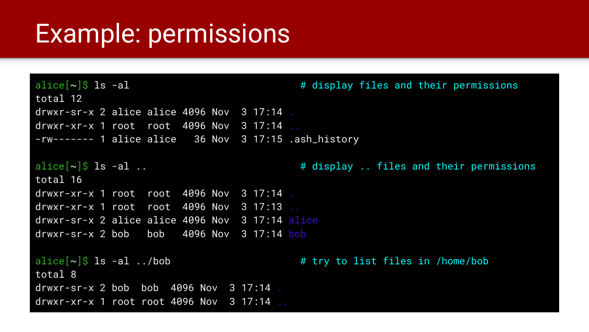#### Example: permissions

```
alice[\sim]$ ls -al \parallel \parallel \parallel \parallel \parallel \parallel \parallel display files and their permissions
total 12
drwxr-sr-x 2 alice alice 4096 Nov 3 17:14 .
drwxr-xr-x 1 root root 4096 Nov 3 17:14.
-rw------- 1 alice alice 36 Nov 3 17:15 .ash_history
alice[\sim]$ ls -al .. \qquad \qquad # display .. files and their permissions
total 16
drwxr-xr-x 1 root root 4096 Nov 3 17:14 .
drwxr-xr-x 1 root root 4096 Nov 3 17:13 ..
drwxr-sr-x 2 alice alice 4096 Nov 3 17:14 alice
drwxr-sr-x 2 bob bob 4096 Nov 3 17:14 bob
alice[~]$ ls -al ../bob # try to list files in /home/bob
total 8
drwxr-sr-x 2 bob bob 4096 Nov 3 17:14 .
drwxr-xr-x 1 root root 4096 Nov 3 17:14 ..
```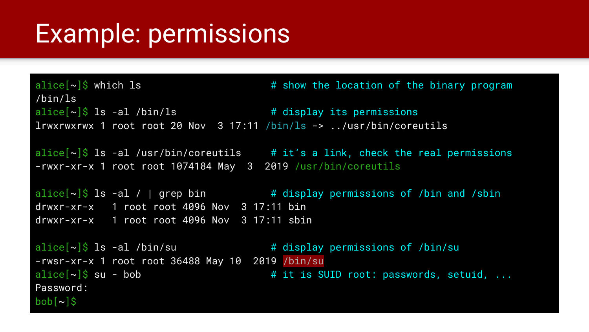#### Example: permissions

alice $\left[\sim\right]$ \$ which ls  $\sim$   $\frac{4}{3}$  show the location of the binary program /bin/ls alice $[\sim]$ \$ ls -al /bin/ls  $\qquad$  # display its permissions lrwxrwxrwx 1 root root 20 Nov 3 17:11 /bin/ls -> ../usr/bin/coreutils

alice $[\sim]$ \$ ls -al /usr/bin/coreutils # it's a link, check the real permissions -rwxr-xr-x 1 root root 1074184 May 3 2019 /usr/bin/coreutils

alice $[\sim]$ \$ ls -al / | grep bin  $\overline{a}$  # display permissions of /bin and /sbin drwxr-xr-x 1 root root 4096 Nov 3 17:11 bin drwxr-xr-x 1 root root 4096 Nov 3 17:11 sbin

alice $[\sim]$ \$ ls -al /bin/su  $\qquad \qquad$  # display permissions of /bin/su -rwsr-xr-x 1 root root 36488 May 10 2019 /bin/su alice $\lceil \sim \rceil$ \$ su - bob  $\blacksquare$  # it is SUID root: passwords, setuid, ... Password: bob[~]\$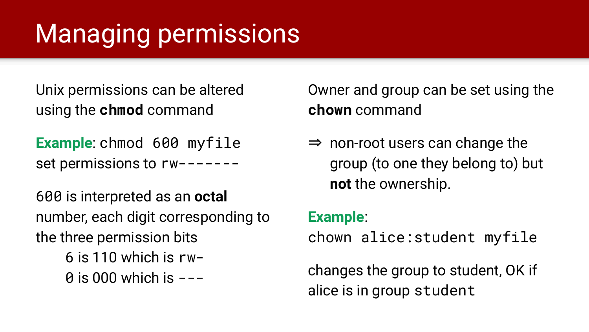# Managing permissions

Unix permissions can be altered using the **chmod** command

**Example**: chmod 600 myfile set permissions to rw-------

600 is interpreted as an **octal** number, each digit corresponding to the three permission bits 6 is 110 which is rw- $\theta$  is 000 which is  $---$ 

Owner and group can be set using the **chown** command

 $\Rightarrow$  non-root users can change the group (to one they belong to) but **not** the ownership.

#### **Example**:

chown alice:student myfile

changes the group to student, OK if alice is in group student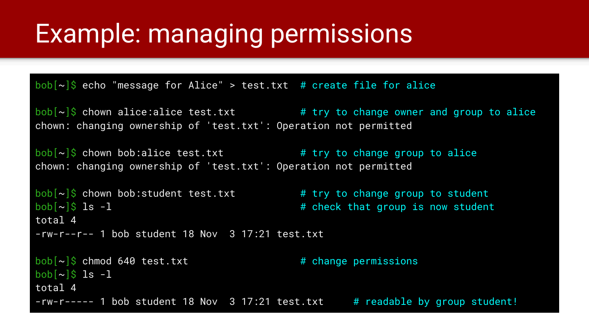#### Example: managing permissions

 $\text{bob}[\sim]\hat{\text{S}}$  echo "message for Alice" > test.txt # create file for alice

 $\text{bob}[\sim]$ \$ chown alice:alice test.txt  $\qquad \qquad \text{# try to change owner and group to alive}$ chown: changing ownership of 'test.txt': Operation not permitted

 $\text{bob}[\sim]\hat{\text{S}}$  chown bob:alice test.txt  $\qquad \qquad \text{# try to change group to alive}$ chown: changing ownership of 'test.txt': Operation not permitted

```
\text{bob}[\sim]$ chown bob:student test.txt \qquad \qquad # try to change group to student
\cosh\left[\frac{1}{2}\right] is -1 \cdots \cdots \cdots \cdots \cdots \cdots \cdots \cdots \cdots \cdots \cdots \cdots \cdots \cdots \cdots \cdots \cdots \cdots \cdots \cdots \cdots \cdots \cdots \cdots \cdots \cdots \cdots \cdots \cdots \cdots \cdots \cdots \cdots 
total 4
-rw-r--r-- 1 bob student 18 Nov 3 17:21 test.txt
```
 $\text{bob}[\sim]$ \$ chmod 640 test.txt  $\overline{1}$  # change permissions  $\text{bob}[\sim]$ \$ ls -1 total 4  $-rw-r---$  1 bob student 18 Nov 3 17:21 test.txt # readable by group student!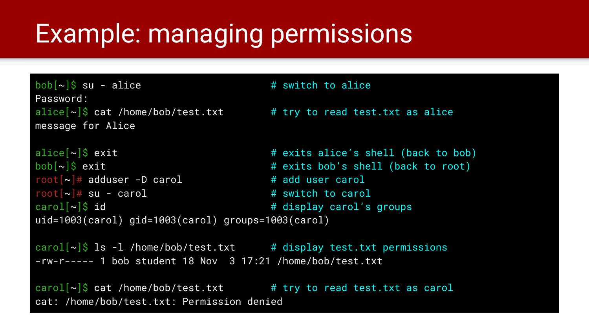### Example: managing permissions

 $\text{bob}[\sim]\$$  su - alice  $\text{# switch to alive}$ Password: alice $\lceil \sim \rceil$ \$ cat /home/bob/test.txt  $\qquad$  # try to read test.txt as alice message for Alice

```
alice[~]$ exit # exits alice's shell (back to bob)
\text{bob}[\sim]$ exit \longrightarrow \text{F} exits bob's shell (back to root)
root[\sim]# adduser -D carol \qquad # add user carol
root[\sim]\# su - carol \# switch to carol
card[-]$ id \overline{4} display carol's groups
uid=1003(carol) gid=1003(carol) groups=1003(carol)
```
carol $[\sim]$ \$ ls -l /home/bob/test.txt # display test.txt permissions -rw-r----- 1 bob student 18 Nov 3 17:21 /home/bob/test.txt

carol $[\sim]$ \$ cat /home/bob/test.txt # try to read test.txt as carol cat: /home/bob/test.txt: Permission denied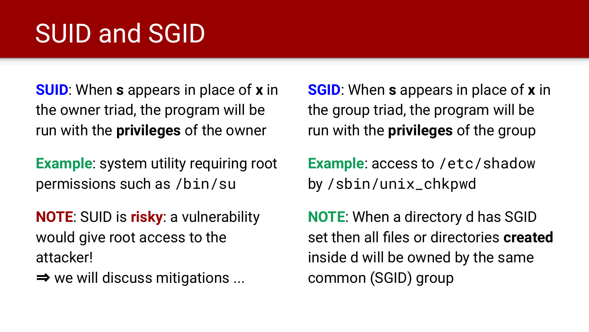# SUID and SGID

**SUID**: When **s** appears in place of **x** in the owner triad, the program will be run with the **privileges** of the owner

**Example**: system utility requiring root permissions such as /bin/su

**NOTE**: SUID is **risky**: a vulnerability would give root access to the attacker!

 $\Rightarrow$  we will discuss mitigations ...

**SGID**: When **s** appears in place of **x** in the group triad, the program will be run with the **privileges** of the group

**Example**: access to /etc/shadow by /sbin/unix\_chkpwd

**NOTE**: When a directory d has SGID set then all files or directories **created** inside d will be owned by the same common (SGID) group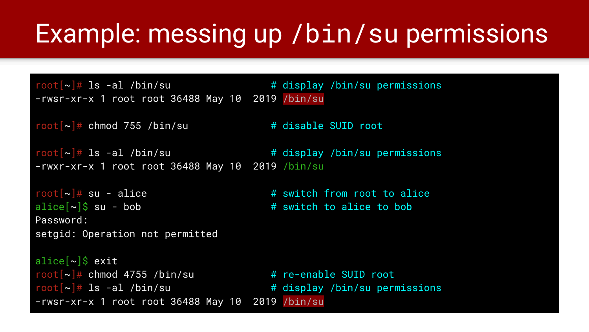#### Example: messing up /bin/su permissions

root $[\sim]$ # ls -al /bin/su  $\longrightarrow$  # display /bin/su permissions -rwsr-xr-x 1 root root 36488 May 10 2019 /bin/su

root $\lceil \sim \rceil$ # chmod 755 /bin/su  $\qquad \qquad \qquad$  # disable SUID root

root $\lceil -\rceil \#$  ls -al /bin/su  $\#$  display /bin/su permissions -rwxr-xr-x 1 root root 36488 May 10 2019 /bin/su

 $root[\sim]$ # su - alice  $\qquad \qquad$  # switch from root to alice  $\text{alice}[\sim]$ \$ su - bob  $\text{\# switch to alive to bob}$ Password: setgid: Operation not permitted

alice $[\sim]$ \$ exit  $root[\sim]\#$  chmod 4755 /bin/su  $\#$  re-enable SUID root  $root[\sim]$ # ls -al /bin/su  $\qquad \qquad$  # display /bin/su permissions -rwsr-xr-x 1 root root 36488 May 10 2019 /bin/su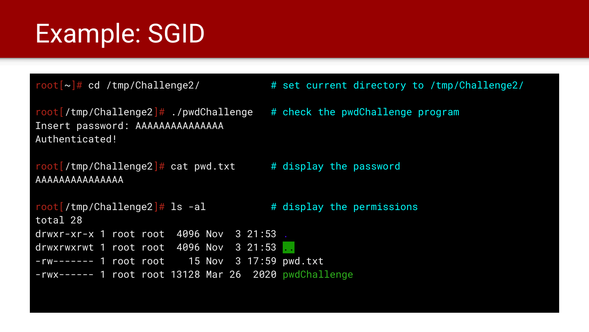## Example: SGID

```
root[/tmp/Challenge2]#./pwdChallenge # check the pwdChallenge program
Insert password: AAAAAAAAAAAAAAA 
Authenticated!
```

```
root[/tmp/Challenge2]# cat pwd.txt # display display the password
AAAAAAAAAAAAAAA
```

```
root[/tmp/Challenge2]# ls -al \qquad # display the permissions
total 28
drwxr-xr-x 1 root root 4096 Nov 3 21:53 .
drwxrwxrwt 1 root root 4096 Nov 3 21:53
-rw------- 1 root root 15 Nov 3 17:59 pwd.txt
-rwx------ 1 root root 13128 Mar 26 2020 pwdChallenge
```
 $root[\sim]\#$  cd /tmp/Challenge2/  $\qquad \qquad \#$  set current directory to /tmp/Challenge2/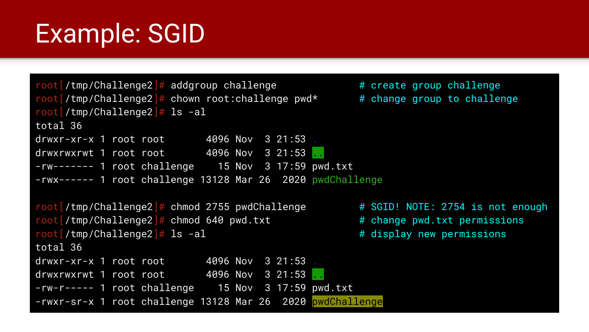### Example: SGID

```
root[/tmp/Challenge2]\# addgroup challenge \# create group challenge
root[/tmp/Challenge2]# chown root:challenge pwd* \qquad # change group to challenge
root[/tmp/Challenge2]# ls -al
total 36
drwxr-xr-x 1 root root 4096 Nov 3 21:53 .
drwxrwxrwt 1 root root 4096 Nov 3 21:53.
-rw------- 1 root challenge 15 Nov 3 17:59 pwd.txt
-rwx------ 1 root challenge 13128 Mar 26 2020 pwdChallenge
root[/tmp/Challenge2]# chmod 2755 pwdChallenge \qquad # SGID! NOTE: 2754 is not enough
root[/tmp/Challenge2]# chmod 640 pwd.txt # change pwd.txt permissions
root[/tmp/Challenge2] \# 1s -a1 # 14 + 13 + 14 + 15 + 16 + 17 + 17 + 17 + 17 + 17 + 17 + 17 + 17 + 17 + 17 + 17 + 17 + 17 + 17 + 17 + 17 + 17 + 17 + 17 + 17 + 17 + 17 + 17 + 1total 36
drwxr-xr-x 1 root root 4096 Nov 3 21:53 .
drwxrwxrwt 1 root root       4096 Nov 3 21:53 ...
-rw-r----- 1 root challenge 15 Nov 3 17:59 pwd.txt
-rwxr-sr-x 1 root challenge 13128 Mar 26 2020 pwdChallenge
```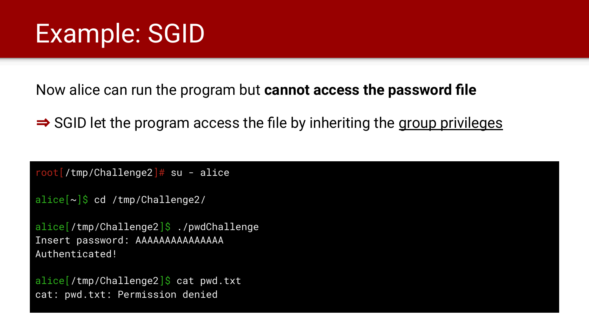### Example: SGID

Now alice can run the program but **cannot access the password file**

⇒ SGID let the program access the file by inheriting the group privileges

 $root[/tmp/Challenge2]$ # su - alice

```
alice[~]$ cd /tmp/Challenge2/
```

```
alice[/tmp/Challenge2]$ ./pwdChallenge
Insert password: AAAAAAAAAAAAAAA
Authenticated!
```
alice / tmp/Challenge2]\$ cat pwd.txt cat: pwd.txt: Permission denied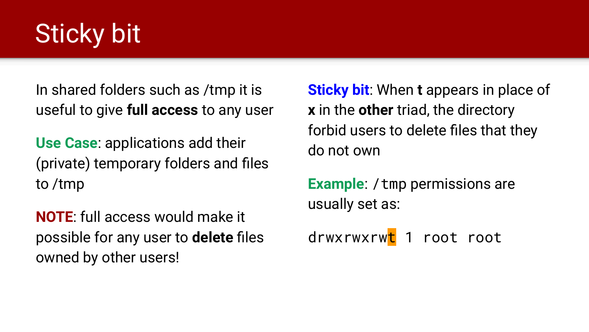# Sticky bit

In shared folders such as /tmp it is useful to give **full access** to any user

**Use Case**: applications add their (private) temporary folders and files to /tmp

**NOTE**: full access would make it possible for any user to **delete** files owned by other users!

**Sticky bit**: When **t** appears in place of **x** in the **other** triad, the directory forbid users to delete files that they do not own

**Example:** / tmp permissions are usually set as:

drwxrwxrwt 1 root root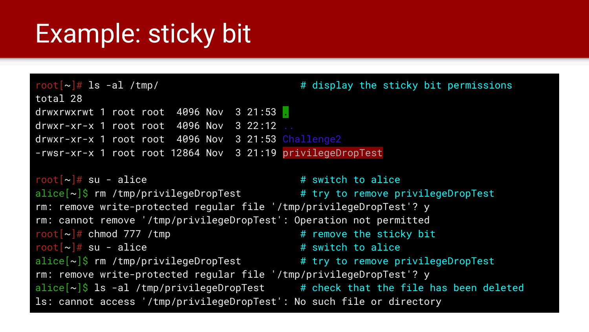#### Example: sticky bit

 $root[\sim]$ # ls -al /tmp/  $\qquad \qquad$  # display the sticky bit permissions total 28 drwxrwxrwt 1 root root 4096 Nov 3 21:53 .  $d$ rwxr-xr-x 1 root root 4096 Nov 3 22:12 drwxr-xr-x 1 root root 4096 Nov 3 21:53 Challenge2 -rwsr-xr-x 1 root root 12864 Nov 3 21:19 privilegeDropTest

```
root[\sim]\# su - alice \qquad \qquad \qquad \# switch to alice
alice[\sim]$ rm /tmp/privilegeDropTest # try to remove privilegeDropTest
rm: remove write-protected regular file '/tmp/privilegeDropTest'? y
rm: cannot remove '/tmp/privilegeDropTest': Operation not permitted
root\lceil \sim \rceil# chmod 777 /tmp \qquad \qquad # remove the sticky bit
root[\sim]\# su - alice \qquad \qquad \qquad \qquad \# switch to alice
alice[\sim]$ rm /tmp/privilegeDropTest # try to remove privilegeDropTest
rm: remove write-protected regular file '/tmp/privilegeDropTest'? y
alice[\sim]$ ls -al /tmp/privilegeDropTest # check that the file has been deleted
ls: cannot access '/tmp/privilegeDropTest': No such file or directory
```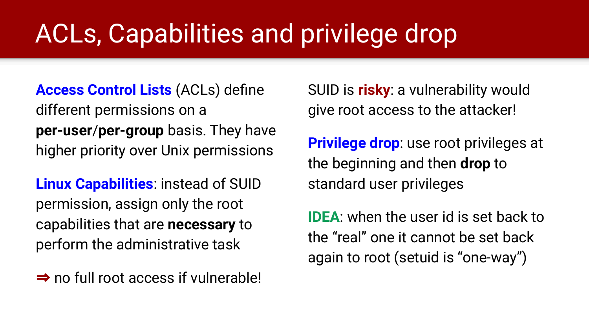# ACLs, Capabilities and privilege drop

**Access Control Lists** (ACLs) define different permissions on a **per-user**/**per-group** basis. They have higher priority over Unix permissions

**Linux Capabilities**: instead of SUID permission, assign only the root capabilities that are **necessary** to perform the administrative task

⇒ no full root access if vulnerable!

SUID is **risky**: a vulnerability would give root access to the attacker!

**Privilege drop**: use root privileges at the beginning and then **drop** to standard user privileges

**IDEA**: when the user id is set back to the "real" one it cannot be set back again to root (setuid is "one-way")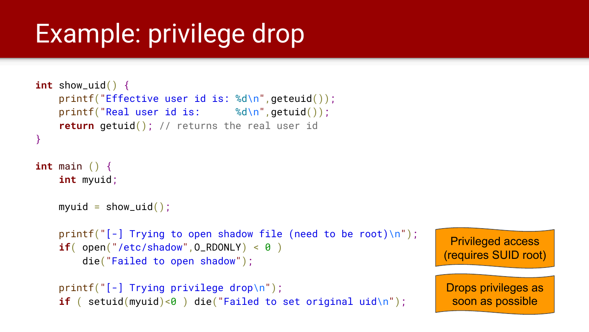# Example: privilege drop

```
int show_uid() {
     printf("Effective user id is: %d\n",geteuid());
    printf("Real user id is: % d\ln", getuid());
     return getuid(); // returns the real user id
}
int main () {
     int myuid;
   myuid = show\_uid();
    printf("[-] Trying to open shadow file (need to be root)\n");
    if( open("/etc/shadow", 0_RDOMLY) < 0 die("Failed to open shadow");
     printf("[-] Trying privilege drop\n");
```

```
if ( setuid(myuid)<0 ) die("Failed to set original uid\n");
```

```
Privileged access 
(requires SUID root)
```

```
Drops privileges as 
 soon as possible
```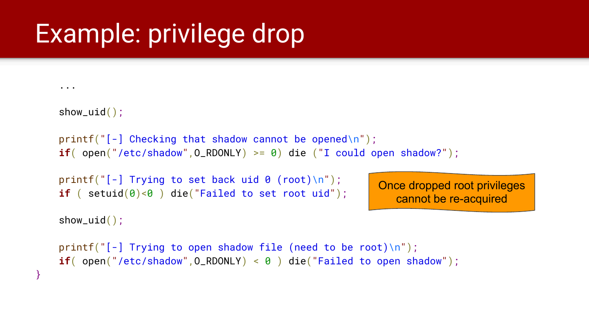### Example: privilege drop

```
 show_uid();
printf("[-] Checking that shadow cannot be opened\n");
if( open("/etc/shadow", 0_RDONLY) >= \theta) die ("I could open shadow?");
printf("[-] Trying to set back uid 0 (root)\n");
if ( setuid(\theta)<\theta ) die("Failed to set root uid");
                                                           Once dropped root privileges
```

```
 show_uid();
```
}

...

```
cannot be re-acquired
```

```
printf("[-] Trying to open shadow file (need to be root)\n");
if( open("/etc/shadow", 0_RDOMLY) < 0 ) die("Failed to open shadow");
```